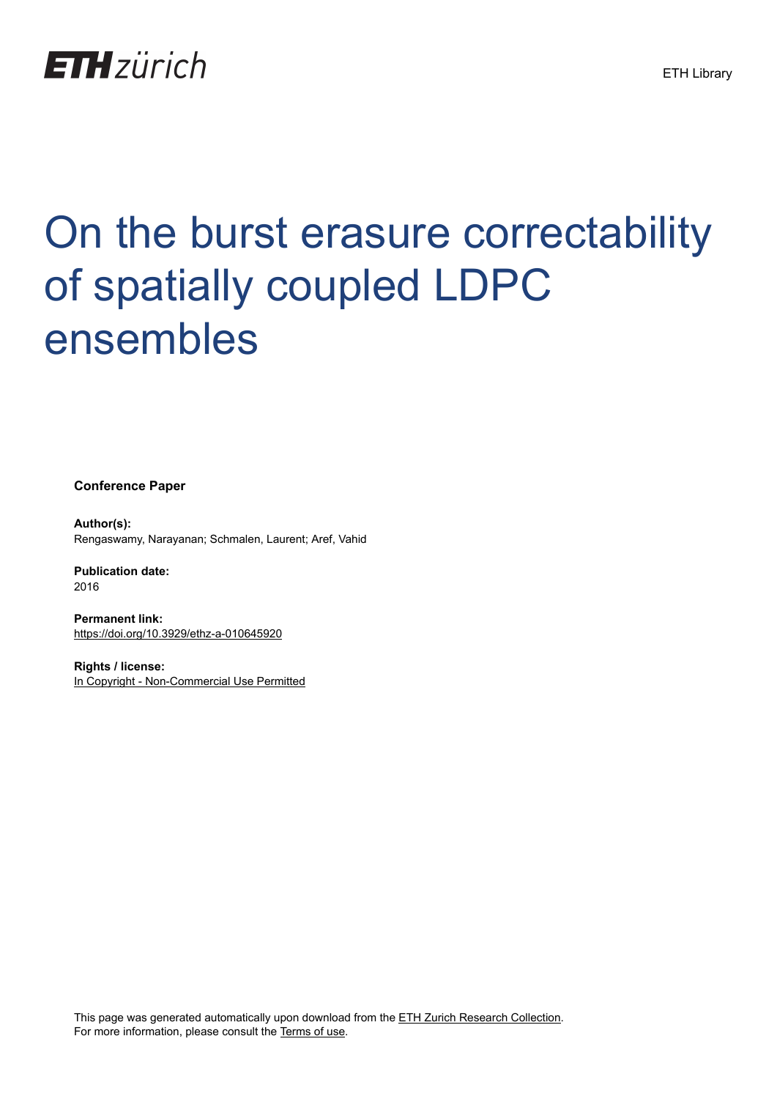

# On the burst erasure correctability of spatially coupled LDPC ensembles

**Conference Paper**

**Author(s):** Rengaswamy, Narayanan; Schmalen, Laurent; Aref, Vahid

**Publication date:** 2016

**Permanent link:** <https://doi.org/10.3929/ethz-a-010645920>

**Rights / license:** [In Copyright - Non-Commercial Use Permitted](http://rightsstatements.org/page/InC-NC/1.0/)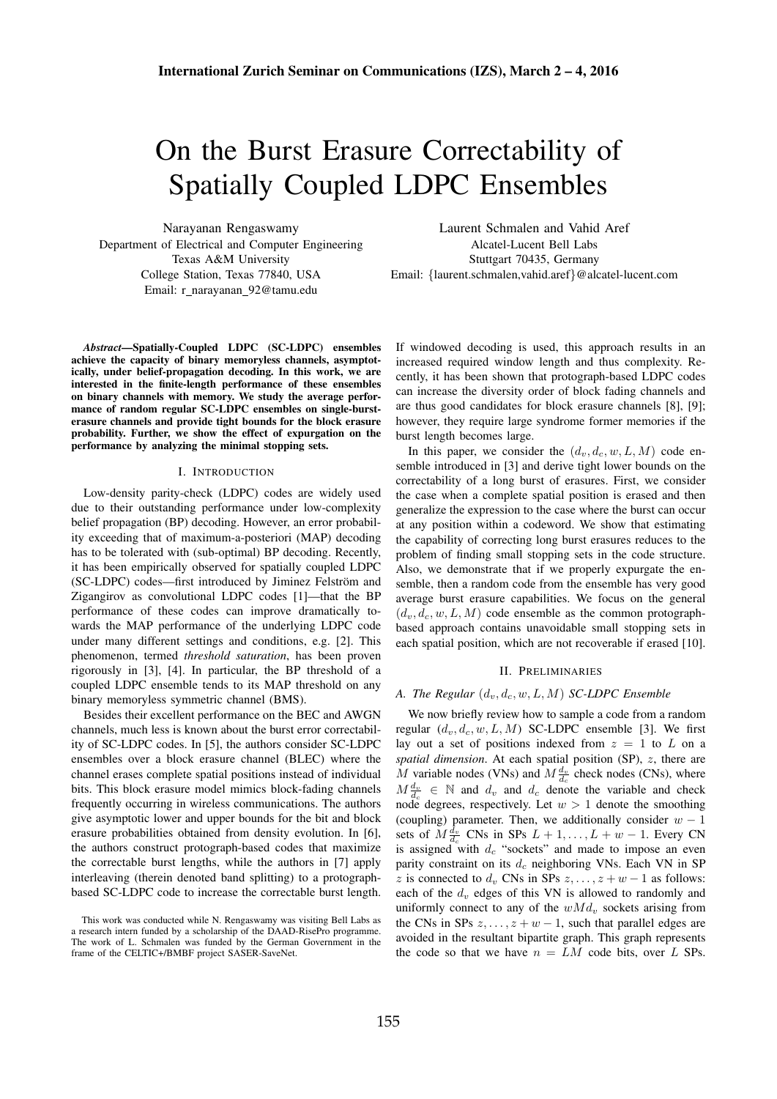# On the Burst Erasure Correctability of Spatially Coupled LDPC Ensembles

Narayanan Rengaswamy Department of Electrical and Computer Engineering Texas A&M University College Station, Texas 77840, USA Email: r narayanan 92@tamu.edu

*Abstract*—Spatially-Coupled LDPC (SC-LDPC) ensembles achieve the capacity of binary memoryless channels, asymptotically, under belief-propagation decoding. In this work, we are interested in the finite-length performance of these ensembles on binary channels with memory. We study the average performance of random regular SC-LDPC ensembles on single-bursterasure channels and provide tight bounds for the block erasure probability. Further, we show the effect of expurgation on the performance by analyzing the minimal stopping sets.

#### I. INTRODUCTION

Low-density parity-check (LDPC) codes are widely used due to their outstanding performance under low-complexity belief propagation (BP) decoding. However, an error probability exceeding that of maximum-a-posteriori (MAP) decoding has to be tolerated with (sub-optimal) BP decoding. Recently, it has been empirically observed for spatially coupled LDPC (SC-LDPC) codes—first introduced by Jiminez Felström and Zigangirov as convolutional LDPC codes [1]—that the BP performance of these codes can improve dramatically towards the MAP performance of the underlying LDPC code under many different settings and conditions, e.g. [2]. This phenomenon, termed *threshold saturation*, has been proven rigorously in [3], [4]. In particular, the BP threshold of a coupled LDPC ensemble tends to its MAP threshold on any binary memoryless symmetric channel (BMS).

Besides their excellent performance on the BEC and AWGN channels, much less is known about the burst error correctability of SC-LDPC codes. In [5], the authors consider SC-LDPC ensembles over a block erasure channel (BLEC) where the channel erases complete spatial positions instead of individual bits. This block erasure model mimics block-fading channels frequently occurring in wireless communications. The authors give asymptotic lower and upper bounds for the bit and block erasure probabilities obtained from density evolution. In [6], the authors construct protograph-based codes that maximize the correctable burst lengths, while the authors in [7] apply interleaving (therein denoted band splitting) to a protographbased SC-LDPC code to increase the correctable burst length.

Laurent Schmalen and Vahid Aref Alcatel-Lucent Bell Labs Stuttgart 70435, Germany Email: {laurent.schmalen,vahid.aref}@alcatel-lucent.com

If windowed decoding is used, this approach results in an increased required window length and thus complexity. Recently, it has been shown that protograph-based LDPC codes can increase the diversity order of block fading channels and are thus good candidates for block erasure channels [8], [9]; however, they require large syndrome former memories if the burst length becomes large.

In this paper, we consider the  $(d_v, d_c, w, L, M)$  code ensemble introduced in [3] and derive tight lower bounds on the correctability of a long burst of erasures. First, we consider the case when a complete spatial position is erased and then generalize the expression to the case where the burst can occur at any position within a codeword. We show that estimating the capability of correcting long burst erasures reduces to the problem of finding small stopping sets in the code structure. Also, we demonstrate that if we properly expurgate the ensemble, then a random code from the ensemble has very good average burst erasure capabilities. We focus on the general  $(d_v, d_c, w, L, M)$  code ensemble as the common protographbased approach contains unavoidable small stopping sets in each spatial position, which are not recoverable if erased [10].

# II. PRELIMINARIES

# *A. The Regular*  $(d_v, d_c, w, L, M)$  *SC-LDPC Ensemble*

We now briefly review how to sample a code from a random regular  $(d_v, d_c, w, L, M)$  SC-LDPC ensemble [3]. We first lay out a set of positions indexed from  $z = 1$  to L on a *spatial dimension*. At each spatial position (SP), z, there are M variable nodes (VNs) and  $M\frac{d_v}{d_c}$  check nodes (CNs), where  $M \frac{d_v}{d_c} \in \mathbb{N}$  and  $d_v$  and  $d_c$  denote the variable and check node degrees, respectively. Let  $w > 1$  denote the smoothing (coupling) parameter. Then, we additionally consider  $w - 1$ sets of  $M\frac{d_v}{d_c}$  CNs in SPs  $L+1, \ldots, L+w-1$ . Every CN is assigned with  $d_c$  "sockets" and made to impose an even parity constraint on its  $d_c$  neighboring VNs. Each VN in SP z is connected to  $d_v$  CNs in SPs  $z, \ldots, z + w - 1$  as follows: each of the  $d<sub>v</sub>$  edges of this VN is allowed to randomly and uniformly connect to any of the  $wMd<sub>v</sub>$ , sockets arising from the CNs in SPs  $z, \ldots, z + w - 1$ , such that parallel edges are avoided in the resultant bipartite graph. This graph represents the code so that we have  $n = LM$  code bits, over L SPs.

This work was conducted while N. Rengaswamy was visiting Bell Labs as a research intern funded by a scholarship of the DAAD-RisePro programme. The work of L. Schmalen was funded by the German Government in the frame of the CELTIC+/BMBF project SASER-SaveNet.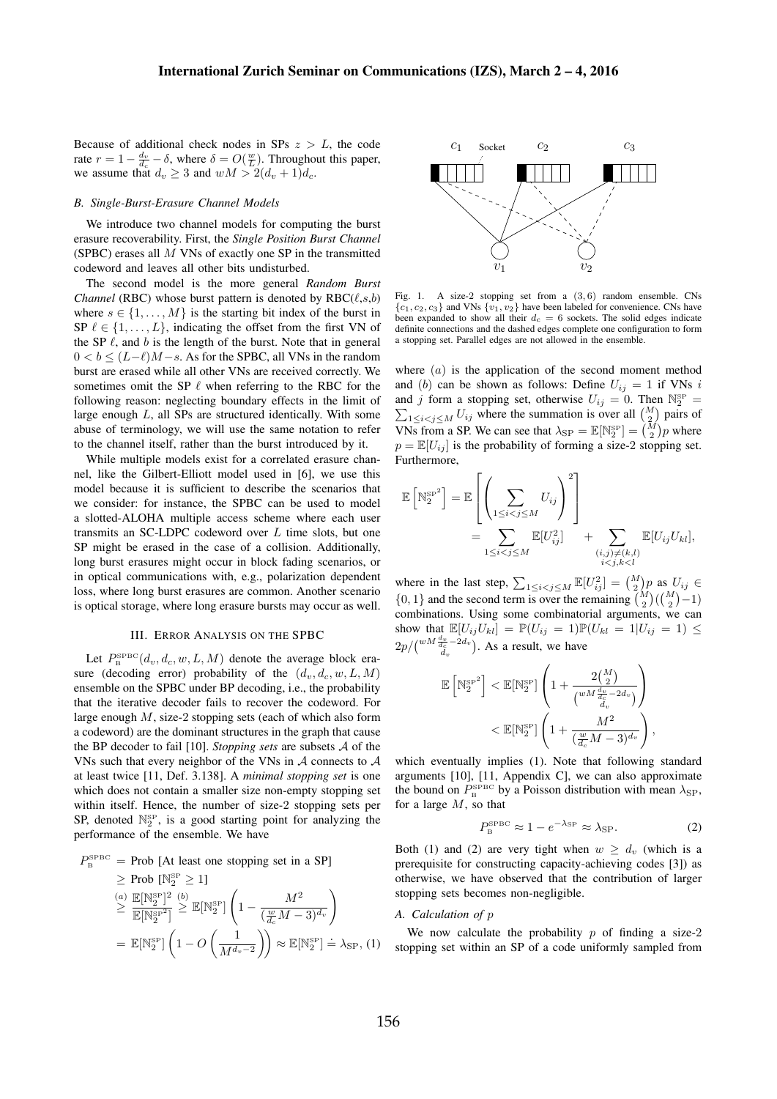Because of additional check nodes in SPs  $z > L$ , the code rate  $r = 1 - \frac{d_v}{d_c} - \delta$ , where  $\delta = O(\frac{w}{L})$ . Throughout this paper, we assume that  $d_v \geq 3$  and  $wM > 2(d_v + 1)d_c$ .

#### *B. Single-Burst-Erasure Channel Models*

We introduce two channel models for computing the burst erasure recoverability. First, the *Single Position Burst Channel* (SPBC) erases all  $M$  VNs of exactly one SP in the transmitted codeword and leaves all other bits undisturbed.

The second model is the more general *Random Burst Channel* (RBC) whose burst pattern is denoted by  $RBC(\ell,s,b)$ where  $s \in \{1, \ldots, M\}$  is the starting bit index of the burst in SP  $\ell \in \{1, \ldots, L\}$ , indicating the offset from the first VN of the SP  $\ell$ , and  $b$  is the length of the burst. Note that in general  $0 < b < (L-\ell)M-s$ . As for the SPBC, all VNs in the random burst are erased while all other VNs are received correctly. We sometimes omit the SP  $\ell$  when referring to the RBC for the following reason: neglecting boundary effects in the limit of large enough L, all SPs are structured identically. With some abuse of terminology, we will use the same notation to refer to the channel itself, rather than the burst introduced by it.

While multiple models exist for a correlated erasure channel, like the Gilbert-Elliott model used in [6], we use this model because it is sufficient to describe the scenarios that we consider: for instance, the SPBC can be used to model a slotted-ALOHA multiple access scheme where each user transmits an SC-LDPC codeword over L time slots, but one SP might be erased in the case of a collision. Additionally, long burst erasures might occur in block fading scenarios, or in optical communications with, e.g., polarization dependent loss, where long burst erasures are common. Another scenario is optical storage, where long erasure bursts may occur as well.

# III. ERROR ANALYSIS ON THE SPBC

Let  $P_{\rm B}^{\rm SPBC}(d_v, d_c, w, L, M)$  denote the average block erasure (decoding error) probability of the  $(d_v, d_c, w, L, M)$ ensemble on the SPBC under BP decoding, i.e., the probability that the iterative decoder fails to recover the codeword. For large enough  $M$ , size-2 stopping sets (each of which also form a codeword) are the dominant structures in the graph that cause the BP decoder to fail [10]. *Stopping sets* are subsets A of the VNs such that every neighbor of the VNs in A connects to A at least twice [11, Def. 3.138]. A *minimal stopping set* is one which does not contain a smaller size non-empty stopping set within itself. Hence, the number of size-2 stopping sets per SP, denoted  $\mathbb{N}_2^{\text{SP}}$ , is a good starting point for analyzing the performance of the ensemble. We have

$$
P_{\rm B}^{\rm SPEC} = \text{Prob} \left[ \text{At least one stopping set in a SP} \right]
$$
  
\n
$$
\geq \text{Prob} \left[ \mathbb{N}_2^{\rm SP} \geq 1 \right]
$$
  
\n
$$
\leq \frac{(\text{a})}{\mathbb{E}[\mathbb{N}_2^{\rm SP}]^2} \left( \frac{b}{2} \right) \mathbb{E}[\mathbb{N}_2^{\rm SP}] \left( 1 - \frac{M^2}{(\frac{w}{d_c}M - 3)^{d_v}} \right)
$$
  
\n
$$
= \mathbb{E}[\mathbb{N}_2^{\rm SP}] \left( 1 - O\left(\frac{1}{M^{d_v - 2}} \right) \right) \approx \mathbb{E}[\mathbb{N}_2^{\rm SP}] = \lambda_{\rm SP}, \text{ (1)}
$$



Fig. 1. A size-2 stopping set from a  $(3, 6)$  random ensemble. CNs  ${c_1, c_2, c_3}$  and VNs  ${v_1, v_2}$  have been labeled for convenience. CNs have been expanded to show all their  $d_c = 6$  sockets. The solid edges indicate definite connections and the dashed edges complete one configuration to form a stopping set. Parallel edges are not allowed in the ensemble.

where  $(a)$  is the application of the second moment method and (b) can be shown as follows: Define  $U_{ij} = 1$  if VNs i and j form a stopping set, otherwise  $U_{ij} = 0$ . Then  $\mathbb{N}_2^{\text{SP}}$  $\sum$  $\frac{SP}{2}$  =  $1 \le i < j \le M$  U<sub>ij</sub> where the summation is over all  $\binom{M}{2}$  pairs of VNs from a SP. We can see that  $\lambda_{\text{SP}} = \mathbb{E}[\mathbb{N}_2^{\text{SP}}] = \binom{M}{2}p$  where  $p = \mathbb{E}[U_{ij}]$  is the probability of forming a size-2 stopping set. Furthermore,

$$
\mathbb{E}\left[\mathbb{N}_{2}^{\mathbb{SP}^{2}}\right] = \mathbb{E}\left[\left(\sum_{1 \leq i < j \leq M} U_{ij}\right)^{2}\right] \\
= \sum_{1 \leq i < j \leq M} \mathbb{E}[U_{ij}^{2}] + \sum_{\substack{(i,j) \neq (k,l) \\ i < j, k < l}} \mathbb{E}[U_{ij}U_{kl}],
$$

where in the last step,  $\sum_{1 \leq i < j \leq M} \mathbb{E}[U_{ij}^2] = \binom{M}{2} p$  as  $U_{ij} \in$  $\{0, 1\}$  and the second term is over the remaining  $\binom{M}{2}$  ( $\binom{M}{2}$  – 1) combinations. Using some combinatorial arguments, we can show that  $\mathbb{E}[U_{ij}U_{kl}] = \mathbb{P}(U_{ij} = 1)\mathbb{P}(U_{kl} = 1|U_{ij} = 1) \leq$  $2p/{w^{M\frac{d_v}{d_c}-2d_v}}$  $\frac{\partial v}{\partial a}$  -2 $a_v$ ). As a result, we have

$$
\begin{aligned} \mathbb{E}\left[\mathbb{N}_2^{\mathrm{SP}}\right] &< \mathbb{E}[\mathbb{N}_2^{\mathrm{SP}}] \left(1+\frac{2\binom{M}{2}}{\binom{wM\frac{d_v}{d_c}-2d_v}{d_v}}\right) \\ &< \mathbb{E}[\mathbb{N}_2^{\mathrm{SP}}] \left(1+\frac{M^2}{\binom{w}{d_c}M-3)^{d_v}}\right) \end{aligned}
$$

which eventually implies (1). Note that following standard arguments [10], [11, Appendix C], we can also approximate the bound on  $P_{\rm B}^{\rm SPEC}$  by a Poisson distribution with mean  $\lambda_{\rm SP}$ , for a large  $M$ , so that

$$
P_{\rm B}^{\rm SPBC} \approx 1 - e^{-\lambda_{\rm SP}} \approx \lambda_{\rm SP}.
$$
 (2)

,

Both (1) and (2) are very tight when  $w \geq d_v$  (which is a prerequisite for constructing capacity-achieving codes [3]) as otherwise, we have observed that the contribution of larger stopping sets becomes non-negligible.

# *A. Calculation of* p

We now calculate the probability  $p$  of finding a size-2 stopping set within an SP of a code uniformly sampled from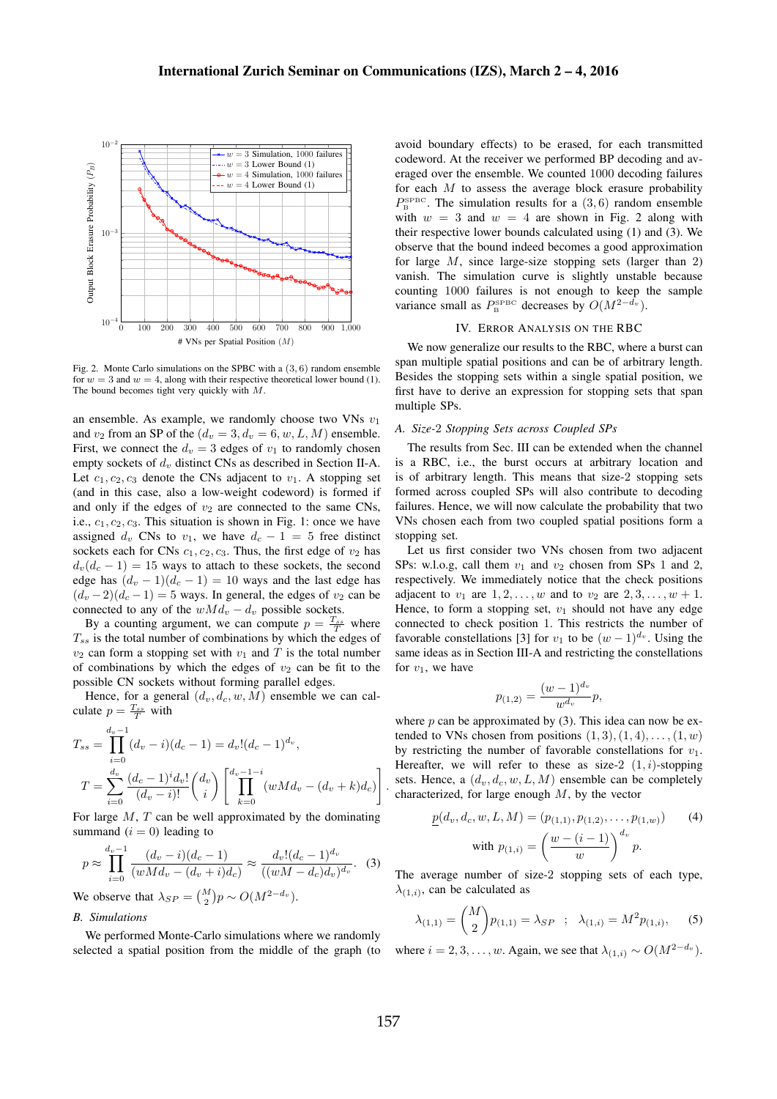

Fig. 2. Monte Carlo simulations on the SPBC with a (3, 6) random ensemble for  $w = 3$  and  $w = 4$ , along with their respective theoretical lower bound (1). The bound becomes tight very quickly with M.

an ensemble. As example, we randomly choose two VNs  $v_1$ and  $v_2$  from an SP of the  $(d_v = 3, d_v = 6, w, L, M)$  ensemble. First, we connect the  $d_v = 3$  edges of  $v_1$  to randomly chosen empty sockets of  $d_v$  distinct CNs as described in Section II-A. Let  $c_1, c_2, c_3$  denote the CNs adjacent to  $v_1$ . A stopping set (and in this case, also a low-weight codeword) is formed if and only if the edges of  $v_2$  are connected to the same CNs, i.e.,  $c_1$ ,  $c_2$ ,  $c_3$ . This situation is shown in Fig. 1: once we have assigned  $d_v$  CNs to  $v_1$ , we have  $d_c - 1 = 5$  free distinct sockets each for CNs  $c_1, c_2, c_3$ . Thus, the first edge of  $v_2$  has  $d_v(d_c - 1) = 15$  ways to attach to these sockets, the second edge has  $(d_v - 1)(d_c - 1) = 10$  ways and the last edge has  $(d_v - 2)(d_c - 1) = 5$  ways. In general, the edges of  $v_2$  can be connected to any of the  $wMd_v - d_v$  possible sockets.

By a counting argument, we can compute  $p = \frac{T_{ss}}{T}$  where  $T_{ss}$  is the total number of combinations by which the edges of  $v_2$  can form a stopping set with  $v_1$  and T is the total number of combinations by which the edges of  $v_2$  can be fit to the possible CN sockets without forming parallel edges.

Hence, for a general  $(d_v, d_c, w, M)$  ensemble we can calculate  $p = \frac{T_{ss}}{T}$  with

$$
T_{ss} = \prod_{i=0}^{d_v - 1} (d_v - i)(d_c - 1) = d_v! (d_c - 1)^{d_v},
$$
  
\n
$$
T = \sum_{i=0}^{d_v} \frac{(d_c - 1)^i d_v!}{(d_v - i)!} {d_v \choose i} \left[ \prod_{k=0}^{d_v - 1 - i} (wMd_v - (d_v + k)d_c) \right]
$$

For large  $M$ ,  $T$  can be well approximated by the dominating summand  $(i = 0)$  leading to

$$
p \approx \prod_{i=0}^{d_v - 1} \frac{(d_v - i)(d_c - 1)}{(wMd_v - (d_v + i)d_c)} \approx \frac{d_v!(d_c - 1)^{d_v}}{((wM - d_c)d_v)^{d_v}}.
$$
 (3)

We observe that  $\lambda_{SP} = \binom{M}{2} p \sim O(M^{2-d_v})$ .

# *B. Simulations*

We performed Monte-Carlo simulations where we randomly selected a spatial position from the middle of the graph (to avoid boundary effects) to be erased, for each transmitted codeword. At the receiver we performed BP decoding and averaged over the ensemble. We counted 1000 decoding failures for each  $M$  to assess the average block erasure probability  $P_{\rm B}^{\rm SPBC}$ . The simulation results for a (3,6) random ensemble with  $w = 3$  and  $w = 4$  are shown in Fig. 2 along with their respective lower bounds calculated using (1) and (3). We observe that the bound indeed becomes a good approximation for large  $M$ , since large-size stopping sets (larger than 2) vanish. The simulation curve is slightly unstable because counting 1000 failures is not enough to keep the sample variance small as  $P_{\rm B}^{\rm SPBC}$  decreases by  $O(M^{2-d_v})$ .

#### IV. ERROR ANALYSIS ON THE RBC

We now generalize our results to the RBC, where a burst can span multiple spatial positions and can be of arbitrary length. Besides the stopping sets within a single spatial position, we first have to derive an expression for stopping sets that span multiple SPs.

# *A. Size-*2 *Stopping Sets across Coupled SPs*

The results from Sec. III can be extended when the channel is a RBC, i.e., the burst occurs at arbitrary location and is of arbitrary length. This means that size-2 stopping sets formed across coupled SPs will also contribute to decoding failures. Hence, we will now calculate the probability that two VNs chosen each from two coupled spatial positions form a stopping set.

Let us first consider two VNs chosen from two adjacent SPs: w.l.o.g, call them  $v_1$  and  $v_2$  chosen from SPs 1 and 2, respectively. We immediately notice that the check positions adjacent to  $v_1$  are  $1, 2, ..., w$  and to  $v_2$  are  $2, 3, ..., w + 1$ . Hence, to form a stopping set,  $v_1$  should not have any edge connected to check position 1. This restricts the number of favorable constellations [3] for  $v_1$  to be  $(w - 1)^{d_v}$ . Using the same ideas as in Section III-A and restricting the constellations for  $v_1$ , we have

$$
p_{(1,2)} = \frac{(w-1)^{d_v}}{w^{d_v}} p,
$$

where  $p$  can be approximated by (3). This idea can now be extended to VNs chosen from positions  $(1, 3), (1, 4), \ldots, (1, w)$ by restricting the number of favorable constellations for  $v_1$ . Hereafter, we will refer to these as size-2  $(1, i)$ -stopping sets. Hence, a  $(d_v, d_c, w, L, M)$  ensemble can be completely characterized, for large enough  $M$ , by the vector

$$
\underline{p}(d_v, d_c, w, L, M) = (p_{(1,1)}, p_{(1,2)}, \dots, p_{(1,w)}) \qquad (4)
$$
  
with  $p_{(1,i)} = \left(\frac{w - (i-1)}{w}\right)^{d_v} p$ .

The average number of size-2 stopping sets of each type,  $\lambda_{(1,i)}$ , can be calculated as

$$
\lambda_{(1,1)} = \binom{M}{2} p_{(1,1)} = \lambda_{SP} \; ; \; \lambda_{(1,i)} = M^2 p_{(1,i)}, \quad (5)
$$

where  $i = 2, 3, \dots, w$ . Again, we see that  $\lambda_{(1,i)} \sim O(M^{2-d_v})$ .

.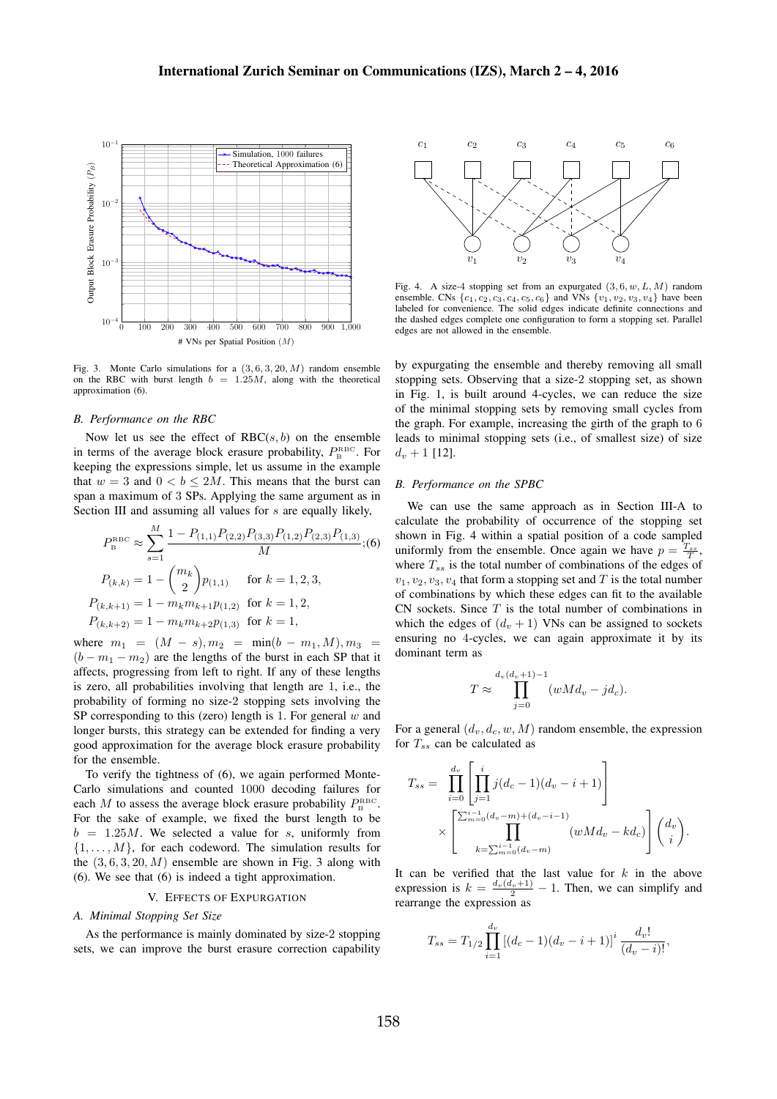

Fig. 3. Monte Carlo simulations for a  $(3, 6, 3, 20, M)$  random ensemble on the RBC with burst length  $b = 1.25M$ , along with the theoretical approximation (6).

#### *B. Performance on the RBC*

Now let us see the effect of  $RBC(s, b)$  on the ensemble in terms of the average block erasure probability,  $P_{\rm B}^{\rm RBC}$ . For keeping the expressions simple, let us assume in the example that  $w = 3$  and  $0 < b \le 2M$ . This means that the burst can span a maximum of 3 SPs. Applying the same argument as in Section III and assuming all values for s are equally likely,

$$
P_{\rm B}^{\rm RBC} \approx \sum_{s=1}^{M} \frac{1 - P_{(1,1)} P_{(2,2)} P_{(3,3)} P_{(1,2)} P_{(2,3)} P_{(1,3)}}{M}; (6)
$$

$$
P_{(k,k)} = 1 - {m_k \choose 2} p_{(1,1)} \quad \text{for } k = 1, 2, 3,
$$

$$
P_{(k,k+1)} = 1 - m_k m_{k+1} p_{(1,2)} \quad \text{for } k = 1, 2,
$$

$$
P_{(k,k+2)} = 1 - m_k m_{k+2} p_{(1,3)} \quad \text{for } k = 1,
$$

where  $m_1 = (M - s), m_2 = \min(b - m_1, M), m_3 =$  $(b - m_1 - m_2)$  are the lengths of the burst in each SP that it affects, progressing from left to right. If any of these lengths is zero, all probabilities involving that length are 1, i.e., the probability of forming no size-2 stopping sets involving the SP corresponding to this (zero) length is 1. For general  $w$  and longer bursts, this strategy can be extended for finding a very good approximation for the average block erasure probability for the ensemble.

To verify the tightness of (6), we again performed Monte-Carlo simulations and counted 1000 decoding failures for each M to assess the average block erasure probability  $P_{\rm B}^{\rm RBC}$ . For the sake of example, we fixed the burst length to be  $b = 1.25M$ . We selected a value for s, uniformly from  $\{1, \ldots, M\}$ , for each codeword. The simulation results for the  $(3, 6, 3, 20, M)$  ensemble are shown in Fig. 3 along with (6). We see that (6) is indeed a tight approximation.

# V. EFFECTS OF EXPURGATION

#### *A. Minimal Stopping Set Size*

As the performance is mainly dominated by size-2 stopping sets, we can improve the burst erasure correction capability



Fig. 4. A size-4 stopping set from an expurgated  $(3, 6, w, L, M)$  random ensemble. CNs  $\{c_1, c_2, c_3, c_4, c_5, c_6\}$  and VNs  $\{v_1, v_2, v_3, v_4\}$  have been labeled for convenience. The solid edges indicate definite connections and the dashed edges complete one configuration to form a stopping set. Parallel edges are not allowed in the ensemble.

by expurgating the ensemble and thereby removing all small stopping sets. Observing that a size-2 stopping set, as shown in Fig. 1, is built around 4-cycles, we can reduce the size of the minimal stopping sets by removing small cycles from the graph. For example, increasing the girth of the graph to 6 leads to minimal stopping sets (i.e., of smallest size) of size  $d_v + 1$  [12].

#### *B. Performance on the SPBC*

We can use the same approach as in Section III-A to calculate the probability of occurrence of the stopping set shown in Fig. 4 within a spatial position of a code sampled uniformly from the ensemble. Once again we have  $p = \frac{T_{ss}}{T}$ , where  $T_{ss}$  is the total number of combinations of the edges of  $v_1, v_2, v_3, v_4$  that form a stopping set and T is the total number of combinations by which these edges can fit to the available CN sockets. Since  $T$  is the total number of combinations in which the edges of  $(d_v + 1)$  VNs can be assigned to sockets ensuring no 4-cycles, we can again approximate it by its dominant term as

$$
T \approx \prod_{j=0}^{d_v(d_v+1)-1} (wMd_v - jd_c).
$$

For a general  $(d_v, d_c, w, M)$  random ensemble, the expression for  $T_{ss}$  can be calculated as

$$
T_{ss} = \prod_{i=0}^{d_v} \left[ \prod_{j=1}^i j(d_c - 1)(d_v - i + 1) \right]
$$
  
 
$$
\times \left[ \prod_{k=\sum_{m=0}^{i-1} (d_v - m)}^{i-1} (wMd_v - kd_c) \right] {d_v \choose i}.
$$

It can be verified that the last value for  $k$  in the above expression is  $k = \frac{d_v(d_v+1)}{2} - 1$ . Then, we can simplify and rearrange the expression as

$$
T_{ss} = T_{1/2} \prod_{i=1}^{d_v} [(d_c - 1)(d_v - i + 1)]^i \frac{d_v!}{(d_v - i)!},
$$